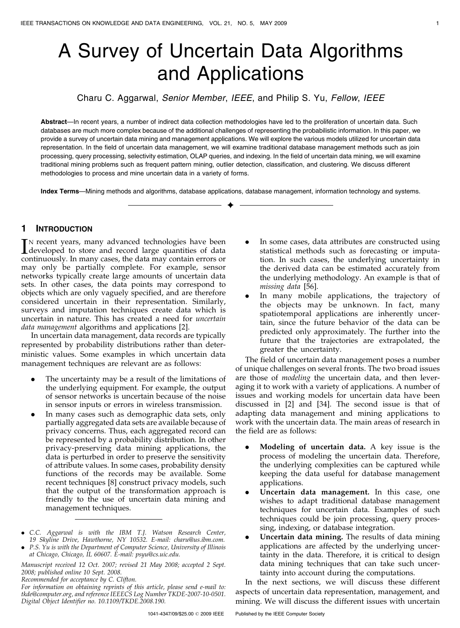# A Survey of Uncertain Data Algorithms and Applications

# Charu C. Aggarwal, Senior Member, IEEE, and Philip S. Yu, Fellow, IEEE

Abstract—In recent years, a number of indirect data collection methodologies have led to the proliferation of uncertain data. Such databases are much more complex because of the additional challenges of representing the probabilistic information. In this paper, we provide a survey of uncertain data mining and management applications. We will explore the various models utilized for uncertain data representation. In the field of uncertain data management, we will examine traditional database management methods such as join processing, query processing, selectivity estimation, OLAP queries, and indexing. In the field of uncertain data mining, we will examine traditional mining problems such as frequent pattern mining, outlier detection, classification, and clustering. We discuss different methodologies to process and mine uncertain data in a variety of forms.

Index Terms—Mining methods and algorithms, database applications, database management, information technology and systems.  $\blacklozenge$ 

# 1 INTRODUCTION

IN recent years, many advanced technologies have been<br>developed to store and record large quantities of data<br>continuously. In many cases, the data may contain errors or N recent years, many advanced technologies have been continuously. In many cases, the data may contain errors or may only be partially complete. For example, sensor networks typically create large amounts of uncertain data sets. In other cases, the data points may correspond to objects which are only vaguely specified, and are therefore considered uncertain in their representation. Similarly, surveys and imputation techniques create data which is uncertain in nature. This has created a need for uncertain data management algorithms and applications [2].

In uncertain data management, data records are typically represented by probability distributions rather than deterministic values. Some examples in which uncertain data management techniques are relevant are as follows:

- . The uncertainty may be a result of the limitations of the underlying equipment. For example, the output of sensor networks is uncertain because of the noise in sensor inputs or errors in wireless transmission.
- . In many cases such as demographic data sets, only partially aggregated data sets are available because of privacy concerns. Thus, each aggregated record can be represented by a probability distribution. In other privacy-preserving data mining applications, the data is perturbed in order to preserve the sensitivity of attribute values. In some cases, probability density functions of the records may be available. Some recent techniques [8] construct privacy models, such that the output of the transformation approach is friendly to the use of uncertain data mining and management techniques.
- . C.C. Aggarwal is with the IBM T.J. Watson Research Center, 19 Skyline Drive, Hawthorne, NY 10532. E-mail: charu@us.ibm.com.
- . P.S. Yu is with the Department of Computer Science, University of Illinois at Chicago, Chicago, IL 60607. E-mail: psyu@cs.uic.edu.

Manuscript received 12 Oct. 2007; revised 21 May 2008; accepted 2 Sept. 2008; published online 10 Sept. 2008.

Recommended for acceptance by C. Clifton.

For information on obtaining reprints of this article, please send e-mail to: tkde@computer.org, and reference IEEECS Log Number TKDE-2007-10-0501. Digital Object Identifier no. 10.1109/TKDE.2008.190.

- . In some cases, data attributes are constructed using statistical methods such as forecasting or imputation. In such cases, the underlying uncertainty in the derived data can be estimated accurately from the underlying methodology. An example is that of missing data [56].
- . In many mobile applications, the trajectory of the objects may be unknown. In fact, many spatiotemporal applications are inherently uncertain, since the future behavior of the data can be predicted only approximately. The further into the future that the trajectories are extrapolated, the greater the uncertainty.

The field of uncertain data management poses a number of unique challenges on several fronts. The two broad issues are those of modeling the uncertain data, and then leveraging it to work with a variety of applications. A number of issues and working models for uncertain data have been discussed in [2] and [34]. The second issue is that of adapting data management and mining applications to work with the uncertain data. The main areas of research in the field are as follows:

- Modeling of uncertain data. A key issue is the process of modeling the uncertain data. Therefore, the underlying complexities can be captured while keeping the data useful for database management applications.
- . Uncertain data management. In this case, one wishes to adapt traditional database management techniques for uncertain data. Examples of such techniques could be join processing, query processing, indexing, or database integration.
- . Uncertain data mining. The results of data mining applications are affected by the underlying uncertainty in the data. Therefore, it is critical to design data mining techniques that can take such uncertainty into account during the computations.

In the next sections, we will discuss these different aspects of uncertain data representation, management, and mining. We will discuss the different issues with uncertain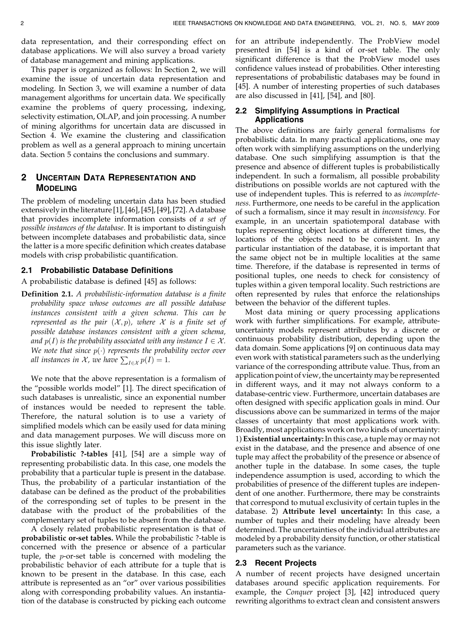data representation, and their corresponding effect on database applications. We will also survey a broad variety of database management and mining applications.

This paper is organized as follows: In Section 2, we will examine the issue of uncertain data representation and modeling. In Section 3, we will examine a number of data management algorithms for uncertain data. We specifically examine the problems of query processing, indexing, selectivity estimation, OLAP, and join processing. A number of mining algorithms for uncertain data are discussed in Section 4. We examine the clustering and classification problem as well as a general approach to mining uncertain data. Section 5 contains the conclusions and summary.

# 2 UNCERTAIN DATA REPRESENTATION AND MODELING

The problem of modeling uncertain data has been studied extensively in theliterature [1], [46], [45], [49], [72]. A database that provides incomplete information consists of a set of possible instances of the database. It is important to distinguish between incomplete databases and probabilistic data, since the latter is a more specific definition which creates database models with crisp probabilistic quantification.

### 2.1 Probabilistic Database Definitions

A probabilistic database is defined [45] as follows:

Definition 2.1. A probabilistic-information database is a finite probability space whose outcomes are all possible database instances consistent with a given schema. This can be represented as the pair  $(\mathcal{X}, p)$ , where X is a finite set of possible database instances consistent with a given schema, and  $p(I)$  is the probability associated with any instance  $I \in \mathcal{X}$ . We note that since  $p(\cdot)$  represents the probability vector over The note that since  $P(\cdot)$  represents the procedure that  $\sum_{I \in \mathcal{X}} p(I) = 1$ .

We note that the above representation is a formalism of the "possible worlds model" [1]. The direct specification of such databases is unrealistic, since an exponential number of instances would be needed to represent the table. Therefore, the natural solution is to use a variety of simplified models which can be easily used for data mining and data management purposes. We will discuss more on this issue slightly later.

Probabilistic ?-tables [41], [54] are a simple way of representing probabilistic data. In this case, one models the probability that a particular tuple is present in the database. Thus, the probability of a particular instantiation of the database can be defined as the product of the probabilities of the corresponding set of tuples to be present in the database with the product of the probabilities of the complementary set of tuples to be absent from the database.

A closely related probabilistic representation is that of probabilistic or-set tables. While the probabilistic ?-table is concerned with the presence or absence of a particular tuple, the p-or-set table is concerned with modeling the probabilistic behavior of each attribute for a tuple that is known to be present in the database. In this case, each attribute is represented as an "or" over various possibilities along with corresponding probability values. An instantiation of the database is constructed by picking each outcome for an attribute independently. The ProbView model presented in [54] is a kind of or-set table. The only significant difference is that the ProbView model uses confidence values instead of probabilities. Other interesting representations of probabilistic databases may be found in [45]. A number of interesting properties of such databases are also discussed in [41], [54], and [80].

# 2.2 Simplifying Assumptions in Practical Applications

The above definitions are fairly general formalisms for probabilistic data. In many practical applications, one may often work with simplifying assumptions on the underlying database. One such simplifying assumption is that the presence and absence of different tuples is probabilistically independent. In such a formalism, all possible probability distributions on possible worlds are not captured with the use of independent tuples. This is referred to as incompleteness. Furthermore, one needs to be careful in the application of such a formalism, since it may result in inconsistency. For example, in an uncertain spatiotemporal database with tuples representing object locations at different times, the locations of the objects need to be consistent. In any particular instantiation of the database, it is important that the same object not be in multiple localities at the same time. Therefore, if the database is represented in terms of positional tuples, one needs to check for consistency of tuples within a given temporal locality. Such restrictions are often represented by rules that enforce the relationships between the behavior of the different tuples.

Most data mining or query processing applications work with further simplifications. For example, attributeuncertainty models represent attributes by a discrete or continuous probability distribution, depending upon the data domain. Some applications [9] on continuous data may even work with statistical parameters such as the underlying variance of the corresponding attribute value. Thus, from an application point of view, the uncertainty may be represented in different ways, and it may not always conform to a database-centric view. Furthermore, uncertain databases are often designed with specific application goals in mind. Our discussions above can be summarized in terms of the major classes of uncertainty that most applications work with. Broadly, most applications work on two kinds of uncertainty: 1) **Existential uncertainty:** In this case, a tuple may or may not exist in the database, and the presence and absence of one tuple may affect the probability of the presence or absence of another tuple in the database. In some cases, the tuple independence assumption is used, according to which the probabilities of presence of the different tuples are independent of one another. Furthermore, there may be constraints that correspond to mutual exclusivity of certain tuples in the database. 2) Attribute level uncertainty: In this case, a number of tuples and their modeling have already been determined. The uncertainties of the individual attributes are modeled by a probability density function, or other statistical parameters such as the variance.

# 2.3 Recent Projects

A number of recent projects have designed uncertain databases around specific application requirements. For example, the Conquer project [3], [42] introduced query rewriting algorithms to extract clean and consistent answers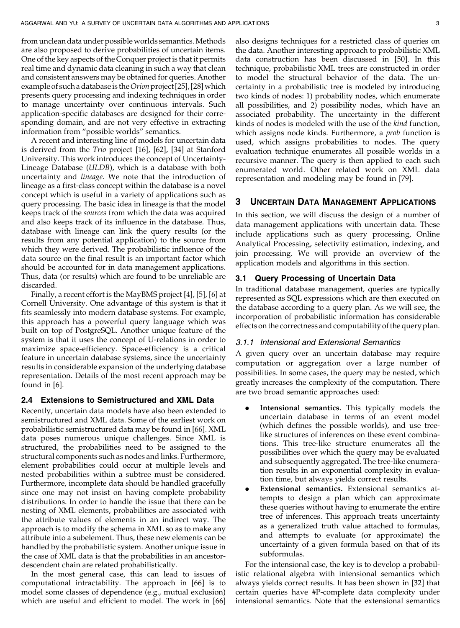from unclean data under possible worlds semantics.Methods are also proposed to derive probabilities of uncertain items. One of the key aspects of the Conquer project is that it permits real time and dynamic data cleaning in such a way that clean and consistent answers may be obtained for queries. Another example of such a database is the Orion project [25], [28] which presents query processing and indexing techniques in order to manage uncertainty over continuous intervals. Such application-specific databases are designed for their corresponding domain, and are not very effective in extracting information from "possible worlds" semantics.

A recent and interesting line of models for uncertain data is derived from the Trio project [16], [62], [34] at Stanford University. This work introduces the concept of Uncertainty-Lineage Database (ULDB), which is a database with both uncertainty and lineage. We note that the introduction of lineage as a first-class concept within the database is a novel concept which is useful in a variety of applications such as query processing. The basic idea in lineage is that the model keeps track of the sources from which the data was acquired and also keeps track of its influence in the database. Thus, database with lineage can link the query results (or the results from any potential application) to the source from which they were derived. The probabilistic influence of the data source on the final result is an important factor which should be accounted for in data management applications. Thus, data (or results) which are found to be unreliable are discarded.

Finally, a recent effort is the MayBMS project [4], [5], [6] at Cornell University. One advantage of this system is that it fits seamlessly into modern database systems. For example, this approach has a powerful query language which was built on top of PostgreSQL. Another unique feature of the system is that it uses the concept of U-relations in order to maximize space-efficiency. Space-efficiency is a critical feature in uncertain database systems, since the uncertainty results in considerable expansion of the underlying database representation. Details of the most recent approach may be found in [6].

# 2.4 Extensions to Semistructured and XML Data

Recently, uncertain data models have also been extended to semistructured and XML data. Some of the earliest work on probabilistic semistructured data may be found in [66]. XML data poses numerous unique challenges. Since XML is structured, the probabilities need to be assigned to the structural components such as nodes and links. Furthermore, element probabilities could occur at multiple levels and nested probabilities within a subtree must be considered. Furthermore, incomplete data should be handled gracefully since one may not insist on having complete probability distributions. In order to handle the issue that there can be nesting of XML elements, probabilities are associated with the attribute values of elements in an indirect way. The approach is to modify the schema in XML so as to make any attribute into a subelement. Thus, these new elements can be handled by the probabilistic system. Another unique issue in the case of XML data is that the probabilities in an ancestordescendent chain are related probabilistically.

In the most general case, this can lead to issues of computational intractability. The approach in [66] is to model some classes of dependence (e.g., mutual exclusion) which are useful and efficient to model. The work in [66] also designs techniques for a restricted class of queries on the data. Another interesting approach to probabilistic XML data construction has been discussed in [50]. In this technique, probabilistic XML trees are constructed in order to model the structural behavior of the data. The uncertainty in a probabilistic tree is modeled by introducing two kinds of nodes: 1) probability nodes, which enumerate all possibilities, and 2) possibility nodes, which have an associated probability. The uncertainty in the different kinds of nodes is modeled with the use of the kind function, which assigns node kinds. Furthermore, a *prob* function is used, which assigns probabilities to nodes. The query evaluation technique enumerates all possible worlds in a recursive manner. The query is then applied to each such enumerated world. Other related work on XML data representation and modeling may be found in [79].

# 3 UNCERTAIN DATA MANAGEMENT APPLICATIONS

In this section, we will discuss the design of a number of data management applications with uncertain data. These include applications such as query processing, Online Analytical Processing, selectivity estimation, indexing, and join processing. We will provide an overview of the application models and algorithms in this section.

#### 3.1 Query Processing of Uncertain Data

In traditional database management, queries are typically represented as SQL expressions which are then executed on the database according to a query plan. As we will see, the incorporation of probabilistic information has considerable effects on the correctness and computability of the query plan.

## 3.1.1 Intensional and Extensional Semantics

A given query over an uncertain database may require computation or aggregation over a large number of possibilities. In some cases, the query may be nested, which greatly increases the complexity of the computation. There are two broad semantic approaches used:

- . Intensional semantics. This typically models the uncertain database in terms of an event model (which defines the possible worlds), and use treelike structures of inferences on these event combinations. This tree-like structure enumerates all the possibilities over which the query may be evaluated and subsequently aggregated. The tree-like enumeration results in an exponential complexity in evaluation time, but always yields correct results.
- . Extensional semantics. Extensional semantics attempts to design a plan which can approximate these queries without having to enumerate the entire tree of inferences. This approach treats uncertainty as a generalized truth value attached to formulas, and attempts to evaluate (or approximate) the uncertainty of a given formula based on that of its subformulas.

For the intensional case, the key is to develop a probabilistic relational algebra with intensional semantics which always yields correct results. It has been shown in [32] that certain queries have #P-complete data complexity under intensional semantics. Note that the extensional semantics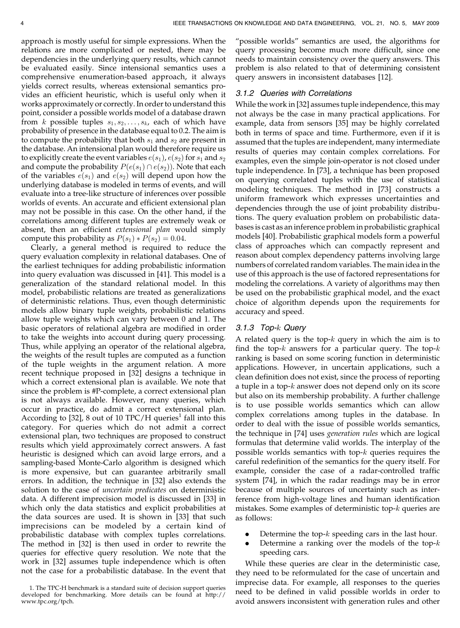approach is mostly useful for simple expressions. When the relations are more complicated or nested, there may be dependencies in the underlying query results, which cannot be evaluated easily. Since intensional semantics uses a comprehensive enumeration-based approach, it always yields correct results, whereas extensional semantics provides an efficient heuristic, which is useful only when it works approximately or correctly. In order to understand this point, consider a possible worlds model of a database drawn from k possible tuples  $s_1, s_2, \ldots, s_k$ , each of which have probability of presence in the database equal to 0.2. The aim is to compute the probability that both  $s_1$  and  $s_2$  are present in the database. An intensional plan would therefore require us to explicitly create the event variables  $e(s_1)$ ,  $e(s_2)$  for  $s_1$  and  $s_2$ and compute the probability  $P(e(s_1) \cap e(s_2))$ . Note that each of the variables  $e(s_1)$  and  $e(s_2)$  will depend upon how the underlying database is modeled in terms of events, and will evaluate into a tree-like structure of inferences over possible worlds of events. An accurate and efficient extensional plan may not be possible in this case. On the other hand, if the correlations among different tuples are extremely weak or absent, then an efficient extensional plan would simply compute this probability as  $P(s_1) * P(s_2) = 0.04$ .

Clearly, a general method is required to reduce the query evaluation complexity in relational databases. One of the earliest techniques for adding probabilistic information into query evaluation was discussed in [41]. This model is a generalization of the standard relational model. In this model, probabilistic relations are treated as generalizations of deterministic relations. Thus, even though deterministic models allow binary tuple weights, probabilistic relations allow tuple weights which can vary between 0 and 1. The basic operators of relational algebra are modified in order to take the weights into account during query processing. Thus, while applying an operator of the relational algebra, the weights of the result tuples are computed as a function of the tuple weights in the argument relation. A more recent technique proposed in [32] designs a technique in which a correct extensional plan is available. We note that since the problem is #P-complete, a correct extensional plan is not always available. However, many queries, which occur in practice, do admit a correct extensional plan. According to [32], 8 out of 10 TPC/H queries<sup>1</sup> fall into this category. For queries which do not admit a correct extensional plan, two techniques are proposed to construct results which yield approximately correct answers. A fast heuristic is designed which can avoid large errors, and a sampling-based Monte-Carlo algorithm is designed which is more expensive, but can guarantee arbitrarily small errors. In addition, the technique in [32] also extends the solution to the case of uncertain predicates on deterministic data. A different imprecision model is discussed in [33] in which only the data statistics and explicit probabilities at the data sources are used. It is shown in [33] that such imprecisions can be modeled by a certain kind of probabilistic database with complex tuples correlations. The method in [32] is then used in order to rewrite the queries for effective query resolution. We note that the work in [32] assumes tuple independence which is often not the case for a probabilistic database. In the event that

"possible worlds" semantics are used, the algorithms for query processing become much more difficult, since one needs to maintain consistency over the query answers. This problem is also related to that of determining consistent query answers in inconsistent databases [12].

#### 3.1.2 Queries with Correlations

While the work in [32] assumes tuple independence, this may not always be the case in many practical applications. For example, data from sensors [35] may be highly correlated both in terms of space and time. Furthermore, even if it is assumed that the tuples are independent, many intermediate results of queries may contain complex correlations. For examples, even the simple join-operator is not closed under tuple independence. In [73], a technique has been proposed on querying correlated tuples with the use of statistical modeling techniques. The method in [73] constructs a uniform framework which expresses uncertainties and dependencies through the use of joint probability distributions. The query evaluation problem on probabilistic databases is cast as an inference problem in probabilistic graphical models [40]. Probabilistic graphical models form a powerful class of approaches which can compactly represent and reason about complex dependency patterns involving large numbers of correlated random variables. The main idea in the use of this approach is the use of factored representations for modeling the correlations. A variety of algorithms may then be used on the probabilistic graphical model, and the exact choice of algorithm depends upon the requirements for accuracy and speed.

#### 3.1.3 Top-k Query

A related query is the top- $k$  query in which the aim is to find the top- $k$  answers for a particular query. The top- $k$ ranking is based on some scoring function in deterministic applications. However, in uncertain applications, such a clean definition does not exist, since the process of reporting a tuple in a top-k answer does not depend only on its score but also on its membership probability. A further challenge is to use possible worlds semantics which can allow complex correlations among tuples in the database. In order to deal with the issue of possible worlds semantics, the technique in [74] uses generation rules which are logical formulas that determine valid worlds. The interplay of the possible worlds semantics with top- $k$  queries requires the careful redefinition of the semantics for the query itself. For example, consider the case of a radar-controlled traffic system [74], in which the radar readings may be in error because of multiple sources of uncertainty such as interference from high-voltage lines and human identification mistakes. Some examples of deterministic top- $k$  queries are as follows:

- Determine the top- $k$  speeding cars in the last hour.
- Determine a ranking over the models of the top- $k$ speeding cars.

While these queries are clear in the deterministic case, they need to be reformulated for the case of uncertain and imprecise data. For example, all responses to the queries need to be defined in valid possible worlds in order to avoid answers inconsistent with generation rules and other

<sup>1.</sup> The TPC-H benchmark is a standard suite of decision support queries developed for benchmarking. More details can be found at http:// www.tpc.org/tpch.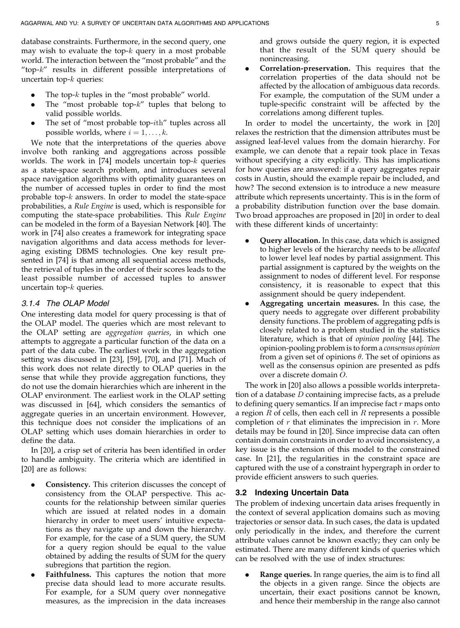database constraints. Furthermore, in the second query, one may wish to evaluate the top- $k$  query in a most probable world. The interaction between the "most probable" and the "top-k" results in different possible interpretations of uncertain top-k queries:

- The top- $k$  tuples in the "most probable" world.
- The "most probable top- $k$ " tuples that belong to valid possible worlds.
- . The set of "most probable top-ith" tuples across all possible worlds, where  $i = 1, \ldots, k$ .

We note that the interpretations of the queries above involve both ranking and aggregations across possible worlds. The work in [74] models uncertain top- $k$  queries as a state-space search problem, and introduces several space navigation algorithms with optimality guarantees on the number of accessed tuples in order to find the most probable top-k answers. In order to model the state-space probabilities, a Rule Engine is used, which is responsible for computing the state-space probabilities. This Rule Engine can be modeled in the form of a Bayesian Network [40]. The work in [74] also creates a framework for integrating space navigation algorithms and data access methods for leveraging existing DBMS technologies. One key result presented in [74] is that among all sequential access methods, the retrieval of tuples in the order of their scores leads to the least possible number of accessed tuples to answer uncertain top-k queries.

# 3.1.4 The OLAP Model

One interesting data model for query processing is that of the OLAP model. The queries which are most relevant to the OLAP setting are aggregation queries, in which one attempts to aggregate a particular function of the data on a part of the data cube. The earliest work in the aggregation setting was discussed in [23], [59], [70], and [71]. Much of this work does not relate directly to OLAP queries in the sense that while they provide aggregation functions, they do not use the domain hierarchies which are inherent in the OLAP environment. The earliest work in the OLAP setting was discussed in [64], which considers the semantics of aggregate queries in an uncertain environment. However, this technique does not consider the implications of an OLAP setting which uses domain hierarchies in order to define the data.

In [20], a crisp set of criteria has been identified in order to handle ambiguity. The criteria which are identified in [20] are as follows:

- . Consistency. This criterion discusses the concept of consistency from the OLAP perspective. This accounts for the relationship between similar queries which are issued at related nodes in a domain hierarchy in order to meet users' intuitive expectations as they navigate up and down the hierarchy. For example, for the case of a SUM query, the SUM for a query region should be equal to the value obtained by adding the results of SUM for the query subregions that partition the region.
- . Faithfulness. This captures the notion that more precise data should lead to more accurate results. For example, for a SUM query over nonnegative measures, as the imprecision in the data increases

and grows outside the query region, it is expected that the result of the SUM query should be nonincreasing.

. Correlation-preservation. This requires that the correlation properties of the data should not be affected by the allocation of ambiguous data records. For example, the computation of the SUM under a tuple-specific constraint will be affected by the correlations among different tuples.

In order to model the uncertainty, the work in [20] relaxes the restriction that the dimension attributes must be assigned leaf-level values from the domain hierarchy. For example, we can denote that a repair took place in Texas without specifying a city explicitly. This has implications for how queries are answered: if a query aggregates repair costs in Austin, should the example repair be included, and how? The second extension is to introduce a new measure attribute which represents uncertainty. This is in the form of a probability distribution function over the base domain. Two broad approaches are proposed in [20] in order to deal with these different kinds of uncertainty:

- Query allocation. In this case, data which is assigned to higher levels of the hierarchy needs to be allocated to lower level leaf nodes by partial assignment. This partial assignment is captured by the weights on the assignment to nodes of different level. For response consistency, it is reasonable to expect that this assignment should be query independent.
- . Aggregating uncertain measures. In this case, the query needs to aggregate over different probability density functions. The problem of aggregating pdfs is closely related to a problem studied in the statistics literature, which is that of opinion pooling [44]. The opinion-pooling problem is to form a consensus opinion from a given set of opinions  $\theta.$  The set of opinions as well as the consensus opinion are presented as pdfs over a discrete domain O.

The work in [20] also allows a possible worlds interpretation of a database  $D$  containing imprecise facts, as a prelude to defining query semantics. If an imprecise fact  $r$  maps onto a region  $R$  of cells, then each cell in  $R$  represents a possible completion of  $r$  that eliminates the imprecision in  $r$ . More details may be found in [20]. Since imprecise data can often contain domain constraints in order to avoid inconsistency, a key issue is the extension of this model to the constrained case. In [21], the regularities in the constraint space are captured with the use of a constraint hypergraph in order to provide efficient answers to such queries.

# 3.2 Indexing Uncertain Data

The problem of indexing uncertain data arises frequently in the context of several application domains such as moving trajectories or sensor data. In such cases, the data is updated only periodically in the index, and therefore the current attribute values cannot be known exactly; they can only be estimated. There are many different kinds of queries which can be resolved with the use of index structures:

Range queries. In range queries, the aim is to find all the objects in a given range. Since the objects are uncertain, their exact positions cannot be known, and hence their membership in the range also cannot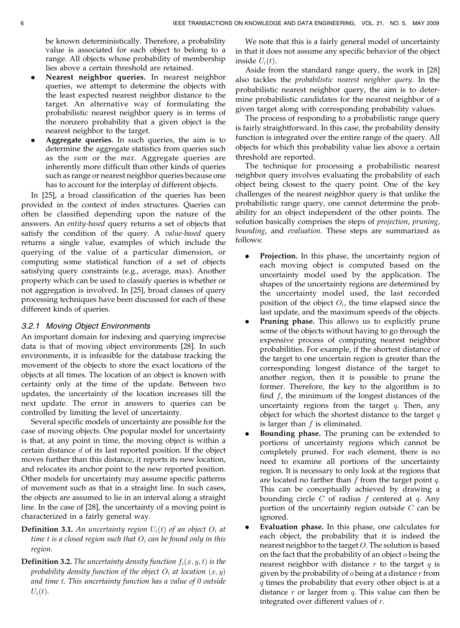be known deterministically. Therefore, a probability value is associated for each object to belong to a range. All objects whose probability of membership lies above a certain threshold are retained.

- . Nearest neighbor queries. In nearest neighbor queries, we attempt to determine the objects with the least expected nearest neighbor distance to the target. An alternative way of formulating the probabilistic nearest neighbor query is in terms of the nonzero probability that a given object is the nearest neighbor to the target.
- . Aggregate queries. In such queries, the aim is to determine the aggregate statistics from queries such as the sum or the max. Aggregate queries are inherently more difficult than other kinds of queries such as range or nearest neighbor queries because one has to account for the interplay of different objects.

In [25], a broad classification of the queries has been provided in the context of index structures. Queries can often be classified depending upon the nature of the answers. An entity-based query returns a set of objects that satisfy the condition of the query. A value-based query returns a single value, examples of which include the querying of the value of a particular dimension, or computing some statistical function of a set of objects satisfying query constraints (e.g., average, max). Another property which can be used to classify queries is whether or not aggregation is involved. In [25], broad classes of query processing techniques have been discussed for each of these different kinds of queries.

# 3.2.1 Moving Object Environments

An important domain for indexing and querying imprecise data is that of moving object environments [28]. In such environments, it is infeasible for the database tracking the movement of the objects to store the exact locations of the objects at all times. The location of an object is known with certainty only at the time of the update. Between two updates, the uncertainty of the location increases till the next update. The error in answers to queries can be controlled by limiting the level of uncertainty.

Several specific models of uncertainty are possible for the case of moving objects. One popular model for uncertainty is that, at any point in time, the moving object is within a certain distance d of its last reported position. If the object moves further than this distance, it reports its new location, and relocates its anchor point to the new reported position. Other models for uncertainty may assume specific patterns of movement such as that in a straight line. In such cases, the objects are assumed to lie in an interval along a straight line. In the case of [28], the uncertainty of a moving point is characterized in a fairly general way.

- **Definition 3.1.** An uncertainty region  $U_i(t)$  of an object  $O_i$  at time t is a closed region such that  $O_i$  can be found only in this region.
- **Definition 3.2.** The uncertainty density function  $f_i(x, y, t)$  is the probability density function of the object  $O_i$  at location  $(x, y)$ and time t. This uncertainty function has a value of 0 outside  $U_i(t)$ .

We note that this is a fairly general model of uncertainty in that it does not assume any specific behavior of the object inside  $U_i(t)$ .

Aside from the standard range query, the work in [28] also tackles the probabilistic nearest neighbor query. In the probabilistic nearest neighbor query, the aim is to determine probabilistic candidates for the nearest neighbor of a given target along with corresponding probability values.

The process of responding to a probabilistic range query is fairly straightforward. In this case, the probability density function is integrated over the entire range of the query. All objects for which this probability value lies above a certain threshold are reported.

The technique for processing a probabilistic nearest neighbor query involves evaluating the probability of each object being closest to the query point. One of the key challenges of the nearest neighbor query is that unlike the probabilistic range query, one cannot determine the probability for an object independent of the other points. The solution basically comprises the steps of *projection*, *pruning*, bounding, and evaluation. These steps are summarized as follows:

- Projection. In this phase, the uncertainty region of each moving object is computed based on the uncertainty model used by the application. The shapes of the uncertainty regions are determined by the uncertainty model used, the last recorded position of the object  $O_i$ , the time elapsed since the last update, and the maximum speeds of the objects.
- **Pruning phase.** This allows us to explicitly prune some of the objects without having to go through the expensive process of computing nearest neighbor probabilities. For example, if the shortest distance of the target to one uncertain region is greater than the corresponding longest distance of the target to another region, then it is possible to prune the former. Therefore, the key to the algorithm is to find  $f$ , the minimum of the longest distances of the uncertainty regions from the target  $q$ . Then, any object for which the shortest distance to the target  $q$ is larger than  $f$  is eliminated.
- Bounding phase. The pruning can be extended to portions of uncertainty regions which cannot be completely pruned. For each element, there is no need to examine all portions of the uncertainty region. It is necessary to only look at the regions that are located no farther than  $f$  from the target point  $q$ . This can be conceptually achieved by drawing a bounding circle  $C$  of radius  $f$  centered at  $q$ . Any portion of the uncertainty region outside  $C$  can be ignored.
- . Evaluation phase. In this phase, one calculates for each object, the probability that it is indeed the nearest neighbor to the target O. The solution is based on the fact that the probability of an object  $o$  being the nearest neighbor with distance  $r$  to the target  $q$  is given by the probability of  $o$  being at a distance  $r$  from  $q$  times the probability that every other object is at a distance  $r$  or larger from  $q$ . This value can then be integrated over different values of r.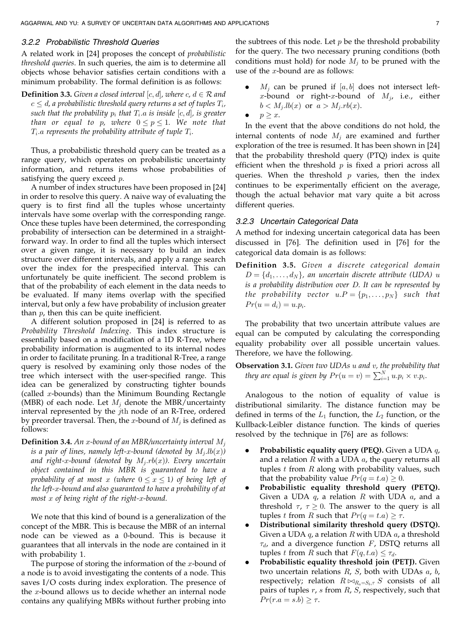# 3.2.2 Probabilistic Threshold Queries

A related work in [24] proposes the concept of probabilistic threshold queries. In such queries, the aim is to determine all objects whose behavior satisfies certain conditions with a minimum probability. The formal definition is as follows:

**Definition 3.3.** Given a closed interval  $[c, d]$ , where  $c, d \in \mathcal{R}$  and  $c \le d$ , a probabilistic threshold query returns a set of tuples  $T_{i}$ , such that the probability  $p_i$  that  $T_i.a$  is inside  $[c, d]$ , is greater than or equal to p, where  $0 \le p \le 1$ . We note that  $T_i$  a represents the probability attribute of tuple  $T_i$ .

Thus, a probabilistic threshold query can be treated as a range query, which operates on probabilistic uncertainty information, and returns items whose probabilities of satisfying the query exceed  $p$ .

A number of index structures have been proposed in [24] in order to resolve this query. A naive way of evaluating the query is to first find all the tuples whose uncertainty intervals have some overlap with the corresponding range. Once these tuples have been determined, the corresponding probability of intersection can be determined in a straightforward way. In order to find all the tuples which intersect over a given range, it is necessary to build an index structure over different intervals, and apply a range search over the index for the prespecified interval. This can unfortunately be quite inefficient. The second problem is that of the probability of each element in the data needs to be evaluated. If many items overlap with the specified interval, but only a few have probability of inclusion greater than  $p$ , then this can be quite inefficient.

A different solution proposed in [24] is referred to as Probability Threshold Indexing. This index structure is essentially based on a modification of a 1D R-Tree, where probability information is augmented to its internal nodes in order to facilitate pruning. In a traditional R-Tree, a range query is resolved by examining only those nodes of the tree which intersect with the user-specified range. This idea can be generalized by constructing tighter bounds (called x-bounds) than the Minimum Bounding Rectangle (MBR) of each node. Let  $M_i$  denote the MBR/uncertainty interval represented by the jth node of an R-Tree, ordered by preorder traversal. Then, the x-bound of  $M_i$  is defined as follows:

**Definition 3.4.** An x-bound of an MBR/uncertainty interval  $M_j$ is a pair of lines, namely left-x-bound (denoted by  $M_i.lb(x)$ ) and right-x-bound (denoted by  $M_j$ .rb $(x)$ ). Every uncertain object contained in this MBR is guaranteed to have a probability of at most x (where  $0 \le x \le 1$ ) of being left of the left-x-bound and also guaranteed to have a probability of at most x of being right of the right-x-bound.

We note that this kind of bound is a generalization of the concept of the MBR. This is because the MBR of an internal node can be viewed as a 0-bound. This is because it guarantees that all intervals in the node are contained in it with probability 1.

The purpose of storing the information of the  $x$ -bound of a node is to avoid investigating the contents of a node. This saves I/O costs during index exploration. The presence of the x-bound allows us to decide whether an internal node contains any qualifying MBRs without further probing into

the subtrees of this node. Let  $p$  be the threshold probability for the query. The two necessary pruning conditions (both conditions must hold) for node  $M_i$  to be pruned with the use of the  $x$ -bound are as follows:

 $M_j$  can be pruned if  $[a, b]$  does not intersect leftx-bound or right-x-bound of  $M_i$ , i.e., either  $b < M_j.lb(x)$  or  $a > M_j.rb(x)$ .



In the event that the above conditions do not hold, the internal contents of node  $M_i$  are examined and further exploration of the tree is resumed. It has been shown in [24] that the probability threshold query (PTQ) index is quite efficient when the threshold  $p$  is fixed a priori across all queries. When the threshold  $p$  varies, then the index continues to be experimentally efficient on the average, though the actual behavior mat vary quite a bit across different queries.

# 3.2.3 Uncertain Categorical Data

A method for indexing uncertain categorical data has been discussed in [76]. The definition used in [76] for the categorical data domain is as follows:

Definition 3.5. Given a discrete categorical domain  $D = \{d_1, \ldots, d_N\}$ , an uncertain discrete attribute (UDA) u is a probability distribution over D. It can be represented by the probability vector  $u.P = \{p_1, \ldots, p_N\}$  such that  $Pr(u = d_i) = u.p_i.$ 

The probability that two uncertain attribute values are equal can be computed by calculating the corresponding equality probability over all possible uncertain values. Therefore, we have the following.

**Observation 3.1.** Given two UDAs  $u$  and  $v$ , the probability that they are equal is given by  $Pr(u = v) = \sum_{i=1}^{N} u \cdot p_i \times v \cdot p_i$ .

Analogous to the notion of equality of value is distributional similarity. The distance function may be defined in terms of the  $L_1$  function, the  $L_2$  function, or the Kullback-Leibler distance function. The kinds of queries resolved by the technique in [76] are as follows:

- Probabilistic equality query (PEQ). Given a UDA  $q$ , and a relation  $R$  with a UDA  $a$ , the query returns all tuples  $t$  from  $R$  along with probability values, such that the probability value  $Pr(q = t.a) \geq 0$ .
- . Probabilistic equality threshold query (PETQ). Given a UDA  $q$ , a relation  $R$  with UDA  $a$ , and a threshold  $\tau$ ,  $\tau \geq 0$ . The answer to the query is all tuples t from R such that  $Pr(q = t.a) \geq \tau$ .
- . Distributional similarity threshold query (DSTQ). Given a UDA  $q$ , a relation  $R$  with UDA  $a$ , a threshold  $\tau_d$ , and a divergence function F, DSTQ returns all tuples t from R such that  $F(q, t.a) \leq \tau_d$ .
- . Probabilistic equality threshold join (PETJ). Given two uncertain relations  $R$ ,  $S$ , both with UDAs  $a$ ,  $b$ , respectively; relation  $R \bowtie_{R_n = S_h, \tau} S$  consists of all pairs of tuples  $r$ ,  $s$  from  $R$ ,  $S$ , respectively, such that  $Pr(r.a = s.b) \geq \tau.$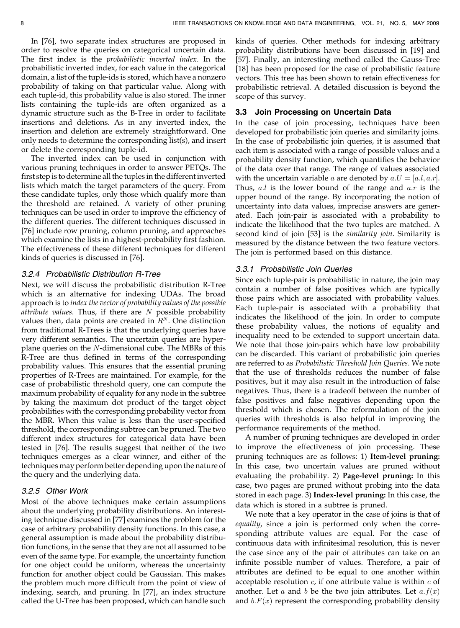In [76], two separate index structures are proposed in order to resolve the queries on categorical uncertain data. The first index is the probabilistic inverted index. In the probabilistic inverted index, for each value in the categorical domain, a list of the tuple-ids is stored, which have a nonzero probability of taking on that particular value. Along with each tuple-id, this probability value is also stored. The inner lists containing the tuple-ids are often organized as a dynamic structure such as the B-Tree in order to facilitate insertions and deletions. As in any inverted index, the insertion and deletion are extremely straightforward. One only needs to determine the corresponding list(s), and insert or delete the corresponding tuple-id.

The inverted index can be used in conjunction with various pruning techniques in order to answer PETQs. The first step is to determine all the tuples in the different inverted lists which match the target parameters of the query. From these candidate tuples, only those which qualify more than the threshold are retained. A variety of other pruning techniques can be used in order to improve the efficiency of the different queries. The different techniques discussed in [76] include row pruning, column pruning, and approaches which examine the lists in a highest-probability first fashion. The effectiveness of these different techniques for different kinds of queries is discussed in [76].

# 3.2.4 Probabilistic Distribution R-Tree

Next, we will discuss the probabilistic distribution R-Tree which is an alternative for indexing UDAs. The broad approach is to index the vector of probability values of the possible attribute values. Thus, if there are  $N$  possible probability values then, data points are created in  $R<sup>N</sup>$ . One distinction from traditional R-Trees is that the underlying queries have very different semantics. The uncertain queries are hyperplane queries on the  $N$ -dimensional cube. The MBRs of this R-Tree are thus defined in terms of the corresponding probability values. This ensures that the essential pruning properties of R-Trees are maintained. For example, for the case of probabilistic threshold query, one can compute the maximum probability of equality for any node in the subtree by taking the maximum dot product of the target object probabilities with the corresponding probability vector from the MBR. When this value is less than the user-specified threshold, the corresponding subtree can be pruned. The two different index structures for categorical data have been tested in [76]. The results suggest that neither of the two techniques emerges as a clear winner, and either of the techniques may perform better depending upon the nature of the query and the underlying data.

#### 3.2.5 Other Work

Most of the above techniques make certain assumptions about the underlying probability distributions. An interesting technique discussed in [77] examines the problem for the case of arbitrary probability density functions. In this case, a general assumption is made about the probability distribution functions, in the sense that they are not all assumed to be even of the same type. For example, the uncertainty function for one object could be uniform, whereas the uncertainty function for another object could be Gaussian. This makes the problem much more difficult from the point of view of indexing, search, and pruning. In [77], an index structure called the U-Tree has been proposed, which can handle such kinds of queries. Other methods for indexing arbitrary probability distributions have been discussed in [19] and [57]. Finally, an interesting method called the Gauss-Tree [18] has been proposed for the case of probabilistic feature vectors. This tree has been shown to retain effectiveness for probabilistic retrieval. A detailed discussion is beyond the scope of this survey.

## 3.3 Join Processing on Uncertain Data

In the case of join processing, techniques have been developed for probabilistic join queries and similarity joins. In the case of probabilistic join queries, it is assumed that each item is associated with a range of possible values and a probability density function, which quantifies the behavior of the data over that range. The range of values associated with the uncertain variable *a* are denoted by  $a.U=[a.l, a.r].$ Thus,  $a.l$  is the lower bound of the range and  $a.r$  is the upper bound of the range. By incorporating the notion of uncertainty into data values, imprecise answers are generated. Each join-pair is associated with a probability to indicate the likelihood that the two tuples are matched. A second kind of join [53] is the *similarity join*. Similarity is measured by the distance between the two feature vectors. The join is performed based on this distance.

## 3.3.1 Probabilistic Join Queries

Since each tuple-pair is probabilistic in nature, the join may contain a number of false positives which are typically those pairs which are associated with probability values. Each tuple-pair is associated with a probability that indicates the likelihood of the join. In order to compute these probability values, the notions of equality and inequality need to be extended to support uncertain data. We note that those join-pairs which have low probability can be discarded. This variant of probabilistic join queries are referred to as Probabilistic Threshold Join Queries. We note that the use of thresholds reduces the number of false positives, but it may also result in the introduction of false negatives. Thus, there is a tradeoff between the number of false positives and false negatives depending upon the threshold which is chosen. The reformulation of the join queries with thresholds is also helpful in improving the performance requirements of the method.

A number of pruning techniques are developed in order to improve the effectiveness of join processing. These pruning techniques are as follows: 1) Item-level pruning: In this case, two uncertain values are pruned without evaluating the probability. 2) Page-level pruning: In this case, two pages are pruned without probing into the data stored in each page. 3) Index-level pruning: In this case, the data which is stored in a subtree is pruned.

We note that a key operator in the case of joins is that of equality, since a join is performed only when the corresponding attribute values are equal. For the case of continuous data with infinitesimal resolution, this is never the case since any of the pair of attributes can take on an infinite possible number of values. Therefore, a pair of attributes are defined to be equal to one another within acceptable resolution  $c$ , if one attribute value is within  $c$  of another. Let a and b be the two join attributes. Let  $a.f(x)$ and  $b.F(x)$  represent the corresponding probability density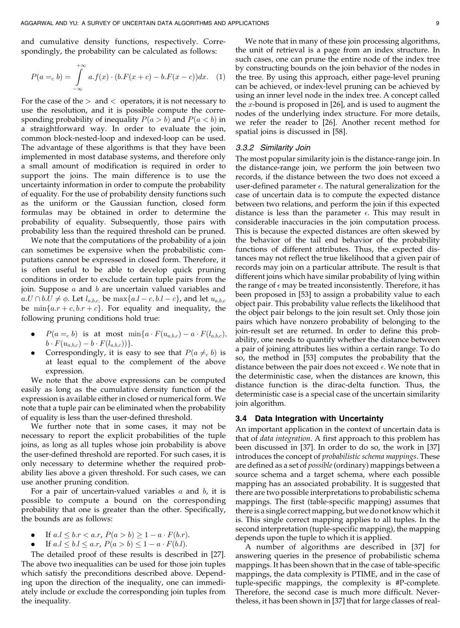and cumulative density functions, respectively. Correspondingly, the probability can be calculated as follows:

$$
P(a = c b) = \int_{-\infty}^{+\infty} a f(x) \cdot (b.F(x + c) - b.F(x - c)) dx.
$$
 (1)

For the case of the  $>$  and  $<$  operators, it is not necessary to use the resolution, and it is possible compute the corresponding probability of inequality  $P(a > b)$  and  $P(a < b)$  in a straightforward way. In order to evaluate the join, common block-nested-loop and indexed-loop can be used. The advantage of these algorithms is that they have been implemented in most database systems, and therefore only a small amount of modification is required in order to support the joins. The main difference is to use the uncertainty information in order to compute the probability of equality. For the use of probability density functions such as the uniform or the Gaussian function, closed form formulas may be obtained in order to determine the probability of equality. Subsequently, those pairs with probability less than the required threshold can be pruned.

We note that the computations of the probability of a join can sometimes be expensive when the probabilistic computations cannot be expressed in closed form. Therefore, it is often useful to be able to develop quick pruning conditions in order to exclude certain tuple pairs from the join. Suppose  $a$  and  $b$  are uncertain valued variables and  $a.U \cap b.U \neq \phi$ . Let  $l_{a,b,c}$ , be  $\max\{a.l - c, b.l - c\}$ , and let  $u_{a,b,c}$ be  $\min\{a.r + c, b.r + c\}$ . For equality and inequality, the following pruning conditions hold true:

- $P(a =_c b)$  is at most  $\min\{a \cdot F(u_{a,b,c}) a \cdot F(l_{a,b,c}),\}$  $b\cdot F(u_{a,b,c})-b\cdot F(l_{a,b,c}))\}.$
- Correspondingly, it is easy to see that  $P(a \neq_c b)$  is at least equal to the complement of the above expression.

We note that the above expressions can be computed easily as long as the cumulative density function of the expression is available either in closed or numerical form. We note that a tuple pair can be eliminated when the probability of equality is less than the user-defined threshold.

We further note that in some cases, it may not be necessary to report the explicit probabilities of the tuple joins, as long as all tuples whose join probability is above the user-defined threshold are reported. For such cases, it is only necessary to determine whether the required probability lies above a given threshold. For such cases, we can use another pruning condition.

For a pair of uncertain-valued variables  $a$  and  $b$ , it is possible to compute a bound on the corresponding probability that one is greater than the other. Specifically, the bounds are as follows:

• If 
$$
a.l \leq b.r < a.r
$$
,  $P(a > b) \geq 1 - a \cdot F(b.r)$ .

• If 
$$
a.l \leq b.l \leq a.r
$$
,  $P(a > b) \leq 1 - a \cdot F(b.l)$ .

The detailed proof of these results is described in [27]. The above two inequalities can be used for those join tuples which satisfy the preconditions described above. Depending upon the direction of the inequality, one can immediately include or exclude the corresponding join tuples from the inequality.

We note that in many of these join processing algorithms, the unit of retrieval is a page from an index structure. In such cases, one can prune the entire node of the index tree by constructing bounds on the join behavior of the nodes in the tree. By using this approach, either page-level pruning can be achieved, or index-level pruning can be achieved by using an inner level node in the index tree. A concept called the  $x$ -bound is proposed in  $[26]$ , and is used to augment the nodes of the underlying index structure. For more details, we refer the reader to [26]. Another recent method for spatial joins is discussed in [58].

#### 3.3.2 Similarity Join

The most popular similarity join is the distance-range join. In the distance-range join, we perform the join between two records, if the distance between the two does not exceed a user-defined parameter  $\epsilon$ . The natural generalization for the case of uncertain data is to compute the expected distance between two relations, and perform the join if this expected distance is less than the parameter  $\epsilon$ . This may result in considerable inaccuracies in the join computation process. This is because the expected distances are often skewed by the behavior of the tail end behavior of the probability functions of different attributes. Thus, the expected distances may not reflect the true likelihood that a given pair of records may join on a particular attribute. The result is that different joins which have similar probability of lying within the range of  $\epsilon$  may be treated inconsistently. Therefore, it has been proposed in [53] to assign a probability value to each object pair. This probability value reflects the likelihood that the object pair belongs to the join result set. Only those join pairs which have nonzero probability of belonging to the join-result set are returned. In order to define this probability, one needs to quantify whether the distance between a pair of joining attributes lies within a certain range. To do so, the method in [53] computes the probability that the distance between the pair does not exceed  $\epsilon$ . We note that in the deterministic case, when the distances are known, this distance function is the dirac-delta function. Thus, the deterministic case is a special case of the uncertain similarity join algorithm.

#### 3.4 Data Integration with Uncertainty

An important application in the context of uncertain data is that of data integration. A first approach to this problem has been discussed in [37]. In order to do so, the work in [37] introduces the concept of probabilistic schema mappings. These are defined as a set of *possible* (ordinary) mappings between a source schema and a target schema, where each possible mapping has an associated probability. It is suggested that there are two possible interpretations to probabilistic schema mappings. The first (table-specific mapping) assumes that there is a single correct mapping, but we do not know which it is. This single correct mapping applies to all tuples. In the second interpretation (tuple-specific mapping), the mapping depends upon the tuple to which it is applied.

A number of algorithms are described in [37] for answering queries in the presence of probabilistic schema mappings. It has been shown that in the case of table-specific mappings, the data complexity is PTIME, and in the case of tuple-specific mappings, the complexity is #P-complete. Therefore, the second case is much more difficult. Nevertheless, it has been shown in [37] that for large classes of real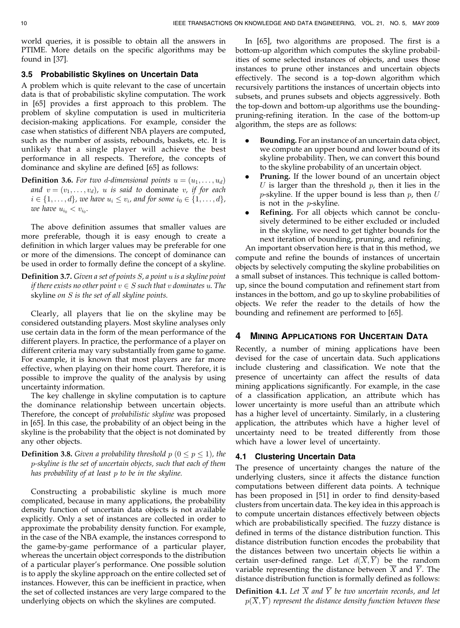world queries, it is possible to obtain all the answers in PTIME. More details on the specific algorithms may be found in [37].

## 3.5 Probabilistic Skylines on Uncertain Data

A problem which is quite relevant to the case of uncertain data is that of probabilistic skyline computation. The work in [65] provides a first approach to this problem. The problem of skyline computation is used in multicriteria decision-making applications. For example, consider the case when statistics of different NBA players are computed, such as the number of assists, rebounds, baskets, etc. It is unlikely that a single player will achieve the best performance in all respects. Therefore, the concepts of dominance and skyline are defined [65] as follows:

**Definition 3.6.** For two d-dimensional points  $u = (u_1, \ldots, u_d)$ and  $v = (v_1, \ldots, v_d)$ , u is said to dominate v, if for each  $i \in \{1, \ldots, d\}$ , we have  $u_i \le v_i$ , and for some  $i_0 \in \{1, \ldots, d\}$ , we have  $u_{i_0} < v_{i_0}$ .

The above definition assumes that smaller values are more preferable, though it is easy enough to create a definition in which larger values may be preferable for one or more of the dimensions. The concept of dominance can be used in order to formally define the concept of a skyline.

Definition 3.7. Given a set of points S, a point u is a skyline point if there exists no other point  $v \in S$  such that v dominates u. The skyline on *S* is the set of all skyline points.

Clearly, all players that lie on the skyline may be considered outstanding players. Most skyline analyses only use certain data in the form of the mean performance of the different players. In practice, the performance of a player on different criteria may vary substantially from game to game. For example, it is known that most players are far more effective, when playing on their home court. Therefore, it is possible to improve the quality of the analysis by using uncertainty information.

The key challenge in skyline computation is to capture the dominance relationship between uncertain objects. Therefore, the concept of probabilistic skyline was proposed in [65]. In this case, the probability of an object being in the skyline is the probability that the object is not dominated by any other objects.

# **Definition 3.8.** Given a probability threshold  $p$  ( $0 \le p \le 1$ ), the p-skyline is the set of uncertain objects, such that each of them has probability of at least p to be in the skyline.

Constructing a probabilistic skyline is much more complicated, because in many applications, the probability density function of uncertain data objects is not available explicitly. Only a set of instances are collected in order to approximate the probability density function. For example, in the case of the NBA example, the instances correspond to the game-by-game performance of a particular player, whereas the uncertain object corresponds to the distribution of a particular player's performance. One possible solution is to apply the skyline approach on the entire collected set of instances. However, this can be inefficient in practice, when the set of collected instances are very large compared to the underlying objects on which the skylines are computed.

In [65], two algorithms are proposed. The first is a bottom-up algorithm which computes the skyline probabilities of some selected instances of objects, and uses those instances to prune other instances and uncertain objects effectively. The second is a top-down algorithm which recursively partitions the instances of uncertain objects into subsets, and prunes subsets and objects aggressively. Both the top-down and bottom-up algorithms use the boundingpruning-refining iteration. In the case of the bottom-up algorithm, the steps are as follows:

- . Bounding. For an instance of an uncertain data object, we compute an upper bound and lower bound of its skyline probability. Then, we can convert this bound to the skyline probability of an uncertain object.
- Pruning. If the lower bound of an uncertain object U is larger than the threshold  $p$ , then it lies in the  $p$ -skyline. If the upper bound is less than  $p$ , then  $U$ is not in the p-skyline.
- Refining. For all objects which cannot be conclusively determined to be either excluded or included in the skyline, we need to get tighter bounds for the next iteration of bounding, pruning, and refining.

An important observation here is that in this method, we compute and refine the bounds of instances of uncertain objects by selectively computing the skyline probabilities on a small subset of instances. This technique is called bottomup, since the bound computation and refinement start from instances in the bottom, and go up to skyline probabilities of objects. We refer the reader to the details of how the bounding and refinement are performed to [65].

# 4 MINING APPLICATIONS FOR UNCERTAIN DATA

Recently, a number of mining applications have been devised for the case of uncertain data. Such applications include clustering and classification. We note that the presence of uncertainty can affect the results of data mining applications significantly. For example, in the case of a classification application, an attribute which has lower uncertainty is more useful than an attribute which has a higher level of uncertainty. Similarly, in a clustering application, the attributes which have a higher level of uncertainty need to be treated differently from those which have a lower level of uncertainty.

# 4.1 Clustering Uncertain Data

The presence of uncertainty changes the nature of the underlying clusters, since it affects the distance function computations between different data points. A technique has been proposed in [51] in order to find density-based clusters from uncertain data. The key idea in this approach is to compute uncertain distances effectively between objects which are probabilistically specified. The fuzzy distance is defined in terms of the distance distribution function. This distance distribution function encodes the probability that the distances between two uncertain objects lie within a certain user-defined range. Let  $d(\overline{X}, \overline{Y})$  be the random variable representing the distance between  $\overline{X}$  and  $\overline{Y}$ . The distance distribution function is formally defined as follows:

**Definition 4.1.** Let  $\overline{X}$  and  $\overline{Y}$  be two uncertain records, and let  $p(\overline{X}, \overline{Y})$  represent the distance density function between these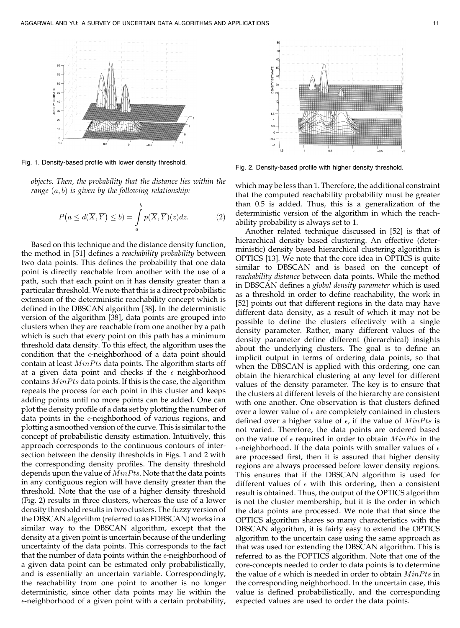

Fig. 1. Density-based profile with lower density threshold. Fig. 2. Density-based profile with higher density threshold.

objects. Then, the probability that the distance lies within the range  $(a, b)$  is given by the following relationship:

$$
P(a \le d(\overline{X}, \overline{Y}) \le b) = \int_{a}^{b} p(\overline{X}, \overline{Y})(z) dz.
$$
 (2)

Based on this technique and the distance density function, the method in [51] defines a reachability probability between two data points. This defines the probability that one data point is directly reachable from another with the use of a path, such that each point on it has density greater than a particular threshold. We note that this is a direct probabilistic extension of the deterministic reachability concept which is defined in the DBSCAN algorithm [38]. In the deterministic version of the algorithm [38], data points are grouped into clusters when they are reachable from one another by a path which is such that every point on this path has a minimum threshold data density. To this effect, the algorithm uses the condition that the  $\epsilon$ -neighborhood of a data point should contain at least  $MinPts$  data points. The algorithm starts off at a given data point and checks if the  $\epsilon$  neighborhood contains  $MinPts$  data points. If this is the case, the algorithm repeats the process for each point in this cluster and keeps adding points until no more points can be added. One can plot the density profile of a data set by plotting the number of data points in the  $\epsilon$ -neighborhood of various regions, and plotting a smoothed version of the curve. This is similar to the concept of probabilistic density estimation. Intuitively, this approach corresponds to the continuous contours of intersection between the density thresholds in Figs. 1 and 2 with the corresponding density profiles. The density threshold depends upon the value of  $MinPts$ . Note that the data points in any contiguous region will have density greater than the threshold. Note that the use of a higher density threshold (Fig. 2) results in three clusters, whereas the use of a lower density threshold results in two clusters. The fuzzy version of the DBSCAN algorithm (referred to as FDBSCAN) works in a similar way to the DBSCAN algorithm, except that the density at a given point is uncertain because of the underling uncertainty of the data points. This corresponds to the fact that the number of data points within the  $\epsilon$ -neighborhood of a given data point can be estimated only probabilistically, and is essentially an uncertain variable. Correspondingly, the reachability from one point to another is no longer deterministic, since other data points may lie within the -neighborhood of a given point with a certain probability,



which may be less than 1. Therefore, the additional constraint that the computed reachability probability must be greater than 0.5 is added. Thus, this is a generalization of the deterministic version of the algorithm in which the reachability probability is always set to 1.

Another related technique discussed in [52] is that of hierarchical density based clustering. An effective (deterministic) density based hierarchical clustering algorithm is OPTICS [13]. We note that the core idea in OPTICS is quite similar to DBSCAN and is based on the concept of reachability distance between data points. While the method in DBSCAN defines a global density parameter which is used as a threshold in order to define reachability, the work in [52] points out that different regions in the data may have different data density, as a result of which it may not be possible to define the clusters effectively with a single density parameter. Rather, many different values of the density parameter define different (hierarchical) insights about the underlying clusters. The goal is to define an implicit output in terms of ordering data points, so that when the DBSCAN is applied with this ordering, one can obtain the hierarchical clustering at any level for different values of the density parameter. The key is to ensure that the clusters at different levels of the hierarchy are consistent with one another. One observation is that clusters defined over a lower value of  $\epsilon$  are completely contained in clusters defined over a higher value of  $\epsilon$ , if the value of  $MinPts$  is not varied. Therefore, the data points are ordered based on the value of  $\epsilon$  required in order to obtain  $MinPts$  in the  $\epsilon$ -neighborhood. If the data points with smaller values of  $\epsilon$ are processed first, then it is assured that higher density regions are always processed before lower density regions. This ensures that if the DBSCAN algorithm is used for different values of  $\epsilon$  with this ordering, then a consistent result is obtained. Thus, the output of the OPTICS algorithm is not the cluster membership, but it is the order in which the data points are processed. We note that that since the OPTICS algorithm shares so many characteristics with the DBSCAN algorithm, it is fairly easy to extend the OPTICS algorithm to the uncertain case using the same approach as that was used for extending the DBSCAN algorithm. This is referred to as the FOPTICS algorithm. Note that one of the core-concepts needed to order to data points is to determine the value of  $\epsilon$  which is needed in order to obtain  $MinPts$  in the corresponding neighborhood. In the uncertain case, this value is defined probabilistically, and the corresponding expected values are used to order the data points.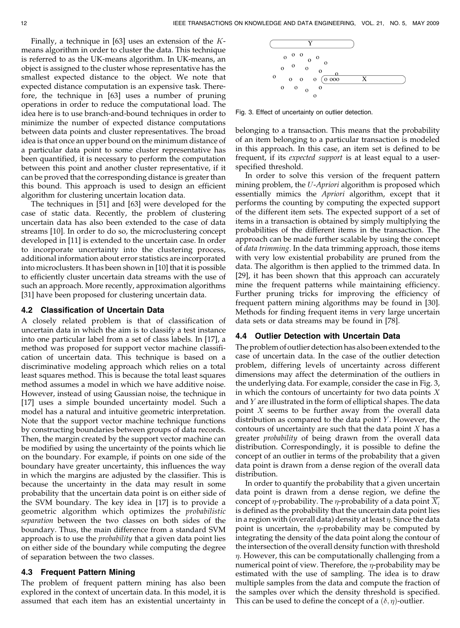Finally, a technique in [63] uses an extension of the Kmeans algorithm in order to cluster the data. This technique is referred to as the UK-means algorithm. In UK-means, an object is assigned to the cluster whose representative has the smallest expected distance to the object. We note that expected distance computation is an expensive task. Therefore, the technique in [63] uses a number of pruning operations in order to reduce the computational load. The idea here is to use branch-and-bound techniques in order to minimize the number of expected distance computations between data points and cluster representatives. The broad idea is that once an upper bound on the minimum distance of a particular data point to some cluster representative has been quantified, it is necessary to perform the computation between this point and another cluster representative, if it can be proved that the corresponding distance is greater than this bound. This approach is used to design an efficient algorithm for clustering uncertain location data.

The techniques in [51] and [63] were developed for the case of static data. Recently, the problem of clustering uncertain data has also been extended to the case of data streams [10]. In order to do so, the microclustering concept developed in [11] is extended to the uncertain case. In order to incorporate uncertainty into the clustering process, additional information about error statistics are incorporated into microclusters. It has been shown in [10] that it is possible to efficiently cluster uncertain data streams with the use of such an approach. More recently, approximation algorithms [31] have been proposed for clustering uncertain data.

# 4.2 Classification of Uncertain Data

A closely related problem is that of classification of uncertain data in which the aim is to classify a test instance into one particular label from a set of class labels. In [17], a method was proposed for support vector machine classification of uncertain data. This technique is based on a discriminative modeling approach which relies on a total least squares method. This is because the total least squares method assumes a model in which we have additive noise. However, instead of using Gaussian noise, the technique in [17] uses a simple bounded uncertainty model. Such a model has a natural and intuitive geometric interpretation. Note that the support vector machine technique functions by constructing boundaries between groups of data records. Then, the margin created by the support vector machine can be modified by using the uncertainty of the points which lie on the boundary. For example, if points on one side of the boundary have greater uncertainty, this influences the way in which the margins are adjusted by the classifier. This is because the uncertainty in the data may result in some probability that the uncertain data point is on either side of the SVM boundary. The key idea in [17] is to provide a geometric algorithm which optimizes the probabilistic separation between the two classes on both sides of the boundary. Thus, the main difference from a standard SVM approach is to use the *probability* that a given data point lies on either side of the boundary while computing the degree of separation between the two classes.

## 4.3 Frequent Pattern Mining

The problem of frequent pattern mining has also been explored in the context of uncertain data. In this model, it is assumed that each item has an existential uncertainty in



Fig. 3. Effect of uncertainty on outlier detection.

belonging to a transaction. This means that the probability of an item belonging to a particular transaction is modeled in this approach. In this case, an item set is defined to be frequent, if its expected support is at least equal to a userspecified threshold.

In order to solve this version of the frequent pattern mining problem, the *U-Apriori* algorithm is proposed which essentially mimics the Apriori algorithm, except that it performs the counting by computing the expected support of the different item sets. The expected support of a set of items in a transaction is obtained by simply multiplying the probabilities of the different items in the transaction. The approach can be made further scalable by using the concept of data trimming. In the data trimming approach, those items with very low existential probability are pruned from the data. The algorithm is then applied to the trimmed data. In [29], it has been shown that this approach can accurately mine the frequent patterns while maintaining efficiency. Further pruning tricks for improving the efficiency of frequent pattern mining algorithms may be found in [30]. Methods for finding frequent items in very large uncertain data sets or data streams may be found in [78].

#### 4.4 Outlier Detection with Uncertain Data

The problem of outlier detection has also been extended to the case of uncertain data. In the case of the outlier detection problem, differing levels of uncertainty across different dimensions may affect the determination of the outliers in the underlying data. For example, consider the case in Fig. 3, in which the contours of uncertainty for two data points  $X$ and Y are illustrated in the form of elliptical shapes. The data point  $X$  seems to be further away from the overall data distribution as compared to the data point  $Y$ . However, the contours of uncertainty are such that the data point  $X$  has a greater probability of being drawn from the overall data distribution. Correspondingly, it is possible to define the concept of an outlier in terms of the probability that a given data point is drawn from a dense region of the overall data distribution.

In order to quantify the probability that a given uncertain data point is drawn from a dense region, we define the concept of  $\eta$ -probability. The  $\eta$ -probability of a data point  $X_i$ is defined as the probability that the uncertain data point lies in a region with (overall data) density at least  $\eta$ . Since the data point is uncertain, the  $\eta$ -probability may be computed by integrating the density of the data point along the contour of the intersection of the overall density function with threshold  $\eta$ . However, this can be computationally challenging from a numerical point of view. Therefore, the  $\eta$ -probability may be estimated with the use of sampling. The idea is to draw multiple samples from the data and compute the fraction of the samples over which the density threshold is specified. This can be used to define the concept of a  $(\delta, \eta)$ -outlier.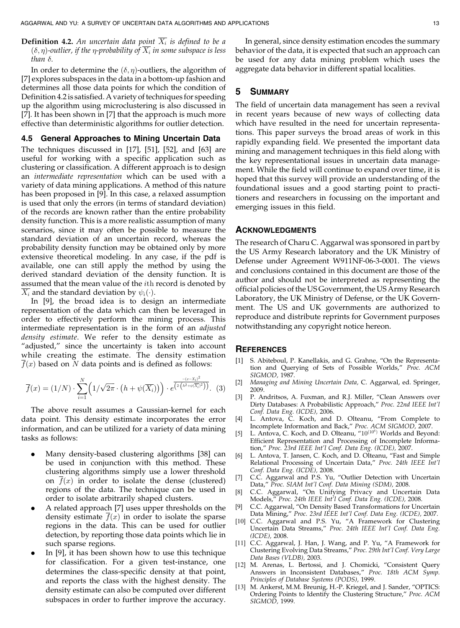**Definition 4.2.** An uncertain data point  $\overline{X_i}$  is defined to be a  $(\delta, \eta)$ -outlier, if the  $\eta$ -probability of  $\overline{X_i}$  in some subspace is less than  $\delta$ .

In order to determine the  $(\delta, \eta)$ -outliers, the algorithm of [7] explores subspaces in the data in a bottom-up fashion and determines all those data points for which the condition of Definition 4.2is satisfied. A variety of techniques for speeding up the algorithm using microclustering is also discussed in [7]. It has been shown in [7] that the approach is much more effective than deterministic algorithms for outlier detection.

## 4.5 General Approaches to Mining Uncertain Data

The techniques discussed in [17], [51], [52], and [63] are useful for working with a specific application such as clustering or classification. A different approach is to design an intermediate representation which can be used with a variety of data mining applications. A method of this nature has been proposed in [9]. In this case, a relaxed assumption is used that only the errors (in terms of standard deviation) of the records are known rather than the entire probability density function. This is a more realistic assumption of many scenarios, since it may often be possible to measure the standard deviation of an uncertain record, whereas the probability density function may be obtained only by more extensive theoretical modeling. In any case, if the pdf is available, one can still apply the method by using the derived standard deviation of the density function. It is assumed that the mean value of the ith record is denoted by  $X_i$  and the standard deviation by  $\psi_i(\cdot).$ 

In [9], the broad idea is to design an intermediate representation of the data which can then be leveraged in order to effectively perform the mining process. This intermediate representation is in the form of an adjusted density estimate. We refer to the density estimate as "adjusted," since the uncertainty is taken into account while creating the estimate. The density estimation  $\overline{f}(x)$  based on N data points and is defined as follows:

$$
\overline{f}(x) = (1/N) \cdot \sum_{i=1}^{N} \left( 1/\sqrt{2\pi} \cdot \left( h + \psi(\overline{X_i}) \right) \right) \cdot e^{\frac{-(x-X_i)^2}{\left( 2\cdot \left( h^2 + \psi(\overline{X_i})^2 \right) \right)}}. (3)
$$

The above result assumes a Gaussian-kernel for each data point. This density estimate incorporates the error information, and can be utilized for a variety of data mining tasks as follows:

- . Many density-based clustering algorithms [38] can be used in conjunction with this method. These clustering algorithms simply use a lower threshold on  $f(x)$  in order to isolate the dense (clustered) regions of the data. The technique can be used in order to isolate arbitrarily shaped clusters.
- . A related approach [7] uses upper thresholds on the density estimate  $f(x)$  in order to isolate the sparse regions in the data. This can be used for outlier detection, by reporting those data points which lie in such sparse regions.
- . In [9], it has been shown how to use this technique for classification. For a given test-instance, one determines the class-specific density at that point, and reports the class with the highest density. The density estimate can also be computed over different subspaces in order to further improve the accuracy.

In general, since density estimation encodes the summary behavior of the data, it is expected that such an approach can be used for any data mining problem which uses the aggregate data behavior in different spatial localities.

# 5 SUMMARY

The field of uncertain data management has seen a revival in recent years because of new ways of collecting data which have resulted in the need for uncertain representations. This paper surveys the broad areas of work in this rapidly expanding field. We presented the important data mining and management techniques in this field along with the key representational issues in uncertain data management. While the field will continue to expand over time, it is hoped that this survey will provide an understanding of the foundational issues and a good starting point to practitioners and researchers in focussing on the important and emerging issues in this field.

#### ACKNOWLEDGMENTS

The research of Charu C. Aggarwal was sponsored in part by the US Army Research laboratory and the UK Ministry of Defense under Agreement W911NF-06-3-0001. The views and conclusions contained in this document are those of the author and should not be interpreted as representing the official policies of the US Government, the US Army Research Laboratory, the UK Ministry of Defense, or the UK Government. The US and UK governments are authorized to reproduce and distribute reprints for Government purposes notwithstanding any copyright notice hereon.

## **REFERENCES**

- [1] S. Abiteboul, P. Kanellakis, and G. Grahne, "On the Representation and Querying of Sets of Possible Worlds," Proc. ACM SIGMOD, 1987.
- [2] Managing and Mining Uncertain Data, C. Aggarwal, ed. Springer, 2009.
- [3] P. Andritsos, A. Fuxman, and R.J. Miller, "Clean Answers over Dirty Databases: A Probabilistic Approach," Proc. 22nd IEEE Int'l Conf. Data Eng. (ICDE), 2006.
- [4] L. Antova, C. Koch, and D. Olteanu, "From Complete to
- Incomplete Information and Back," *Proc. ACM SIGMOD*, 2007.<br>[5] L. Antova, C. Koch, and D. Olteanu, "10<sup>(10<sup>6</sup>) Worlds and Beyond:</sup> Efficient Representation and Processing of Incomplete Information," Proc. 23rd IEEE Int'l Conf. Data Eng. (ICDE), 2007.
- [6] L. Antova, T. Jansen, C. Koch, and D. Olteanu, "Fast and Simple Relational Processing of Uncertain Data," Proc. 24th IEEE Int'l Conf. Data Eng. (ICDE), 2008.
- [7] C.C. Aggarwal and P.S. Yu, "Outlier Detection with Uncertain Data," Proc. SIAM Int'l Conf. Data Mining (SDM), 2008.
- [8] C.C. Aggarwal, "On Unifying Privacy and Uncertain Data Models," Proc. 24th IEEE Int'l Conf. Data Eng. (ICDE), 2008.
- [9] C.C. Aggarwal, "On Density Based Transformations for Uncertain Data Mining," Proc. 23rd IEEE Int'l Conf. Data Eng. (ICDE), 2007.
- [10] C.C. Aggarwal and P.S. Yu, "A Framework for Clustering Uncertain Data Streams," Proc. 24th IEEE Int'l Conf. Data Eng. (ICDE), 2008.
- [11] C.C. Aggarwal, J. Han, J. Wang, and P. Yu, "A Framework for Clustering Evolving Data Streams," Proc. 29th Int'l Conf. Very Large Data Bases (VLDB), 2003.
- [12] M. Arenas, L. Bertossi, and J. Chomicki, "Consistent Query Answers in Inconsistent Databases," Proc. 18th ACM Symp. Principles of Database Systems (PODS), 1999.
- [13] M. Ankerst, M.M. Breunig, H.-P. Kriegel, and J. Sander, "OPTICS: Ordering Points to Identify the Clustering Structure," Proc. ACM SIGMOD, 1999.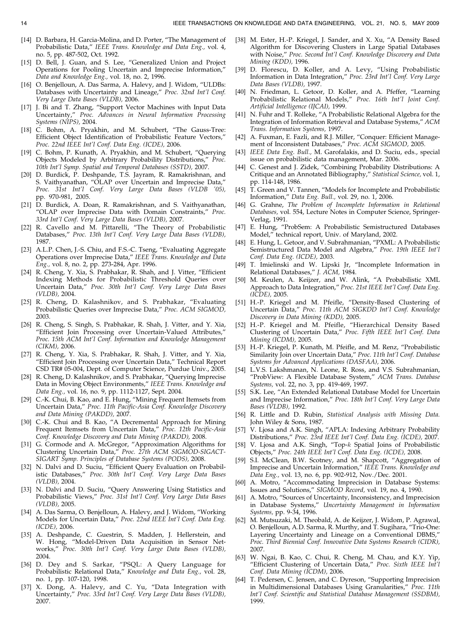- [14] D. Barbara, H. Garcia-Molina, and D. Porter, "The Management of Probabilistic Data," IEEE Trans. Knowledge and Data Eng., vol. 4, no. 5, pp. 487-502, Oct. 1992.
- [15] D. Bell, J. Guan, and S. Lee, "Generalized Union and Project Operations for Pooling Uncertain and Imprecise Information," Data and Knowledge Eng., vol. 18, no. 2, 1996.
- [16] O. Benjelloun, A. Das Sarma, A. Halevy, and J. Widom, "ULDBs: Databases with Uncertainty and Lineage," Proc. 32nd Int'l Conf. Very Large Data Bases (VLDB), 2006.
- [17] J. Bi and T. Zhang, "Support Vector Machines with Input Data Uncertainty," Proc. Advances in Neural Information Processing Systems (NIPS), 2004.
- [18] C. Bohm, A. Pryakhin, and M. Schubert, "The Gauss-Tree: Efficient Object Identification of Probabilistic Feature Vectors," Proc. 22nd IEEE Int'l Conf. Data Eng. (ICDE), 2006.
- [19] C. Bohm, P. Kunath, A. Pryakhin, and M. Schubert, "Querying Objects Modeled by Arbitrary Probability Distributions," Proc. 10th Int'l Symp. Spatial and Temporal Databases (SSTD), 2007.
- [20] D. Burdick, P. Deshpande, T.S. Jayram, R. Ramakrishnan, and S. Vaithyanathan, "OLAP over Uncertain and Imprecise Data," Proc. 31st Int'l Conf. Very Large Data Bases (VLDB '05), pp. 970-981, 2005.
- [21] D. Burdick, A. Doan, R. Ramakrishnan, and S. Vaithyanathan, "OLAP over Imprecise Data with Domain Constraints," Proc. 33rd Int'l Conf. Very Large Data Bases (VLDB), 2007.
- [22] R. Cavello and M. Pittarelli, "The Theory of Probabilistic Databases," Proc. 13th Int'l Conf. Very Large Data Bases (VLDB), 1987.
- [23] A.L.P. Chen, J.-S. Chiu, and F.S.-C. Tseng, "Evaluating Aggregate Operations over Imprecise Data," IEEE Trans. Knowledge and Data Eng., vol. 8, no. 2, pp. 273-284, Apr. 1996.
- [24] R. Cheng, Y. Xia, S. Prabhakar, R. Shah, and J. Vitter, "Efficient Indexing Methods for Probabilistic Threshold Queries over Uncertain Data," Proc. 30th Int'l Conf. Very Large Data Bases (VLDB), 2004.
- [25] R. Cheng, D. Kalashnikov, and S. Prabhakar, "Evaluating Probabilistic Queries over Imprecise Data," Proc. ACM SIGMOD, 2003.
- [26] R. Cheng, S. Singh, S. Prabhakar, R. Shah, J. Vitter, and Y. Xia, "Efficient Join Processing over Uncertain-Valued Attributes," Proc. 15th ACM Int'l Conf. Information and Knowledge Management (CIKM), 2006.
- [27] R. Cheng, Y. Xia, S. Prabhakar, R. Shah, J. Vitter, and Y. Xia, "Efficient Join Processing over Uncertain Data," Technical Report CSD TR# 05-004, Dept. of Computer Science, Purdue Univ., 2005.
- [28] R. Cheng, D. Kalashnikov, and S. Prabhakar, "Querying Imprecise Data in Moving Object Environments," IEEE Trans. Knowledge and Data Eng., vol. 16, no. 9, pp. 1112-1127, Sept. 2004.
- [29] C.-K. Chui, B. Kao, and E. Hung, "Mining Frequent Itemsets from Uncertain Data," Proc. 11th Pacific-Asia Conf. Knowledge Discovery and Data Mining (PAKDD), 2007.
- [30] C.-K. Chui and B. Kao, "A Decremental Approach for Mining Frequent Itemsets from Uncertain Data," Proc. 12th Pacific-Asia Conf. Knowledge Discovery and Data Mining (PAKDD), 2008.
- [31] G. Cormode and A. McGregor, "Approximation Algorithms for Clustering Uncertain Data," Proc. 27th ACM SIGMOD-SIGACT-SIGART Symp. Principles of Database Systems (PODS), 2008.
- [32] N. Dalvi and D. Suciu, "Efficient Query Evaluation on Probabilistic Databases," Proc. 30th Int'l Conf. Very Large Data Bases (VLDB), 2004.
- [33] N. Dalvi and D. Suciu, "Query Answering Using Statistics and Probabilistic Views," Proc. 31st Int'l Conf. Very Large Data Bases (VLDB), 2005.
- [34] A. Das Sarma, O. Benjelloun, A. Halevy, and J. Widom, "Working Models for Uncertain Data," Proc. 22nd IEEE Int'l Conf. Data Eng. (ICDE), 2006.
- [35] A. Deshpande, C. Guestrin, S. Madden, J. Hellerstein, and W. Hong, "Model-Driven Data Acquisition in Sensor Networks," Proc. 30th Int'l Conf. Very Large Data Bases (VLDB), 2004.
- [36] D. Dey and S. Sarkar, "PSQL: A Query Language for Probabilistic Relational Data," Knowledge and Data Eng., vol. 28, no. 1, pp. 107-120, 1998.
- [37] X. Dong, A. Halevy, and C. Yu, "Data Integration with Uncertainty," Proc. 33rd Int'l Conf. Very Large Data Bases (VLDB), 2007.
- [38] M. Ester, H.-P. Kriegel, J. Sander, and X. Xu, "A Density Based Algorithm for Discovering Clusters in Large Spatial Databases with Noise," Proc. Second Int'l Conf. Knowledge Discovery and Data Mining (KDD), 1996.
- [39] D. Florescu, D. Koller, and A. Levy, "Using Probabilistic Information in Data Integration," Proc. 23rd Int'l Conf. Very Large Data Bases (VLDB), 1997.
- [40] N. Friedman, L. Getoor, D. Koller, and A. Pfeffer, "Learning Probabilistic Relational Models," Proc. 16th Int'l Joint Conf. Artificial Intelligence (IJCAI), 1999.
- [41] N. Fuhr and T. Rolleke, "A Probabilistic Relational Algebra for the Integration of Information Retrieval and Database Systems," ACM Trans. Information Systems, 1997.
- [42] A. Fuxman, E. Fazli, and R.J. Miller, "Conquer: Efficient Management of Inconsistent Databases," Proc. ACM SIGMOD, 2005.
- [43] IEEE Data Eng. Bull., M. Garofalakis, and D. Suciu, eds., special issue on probabilistic data management, Mar. 2006.
- [44] C. Genest and J. Zidek, "Combining Probability Distributions: A Critique and an Annotated Bibliography," Statistical Science, vol. 1, pp. 114-148, 1986.
- [45] T. Green and V. Tannen, "Models for Incomplete and Probabilistic Information," Data Eng. Bull., vol. 29, no. 1, 2006.
- [46] G. Grahne, The Problem of Incomplete Information in Relational Databases, vol. 554, Lecture Notes in Computer Science, Springer-Verlag, 1991.
- [47] E. Hung, "ProbSem: A Probabilistic Semistructured Databases Model," technical report, Univ. of Maryland, 2002.
- [48] E. Hung, L. Getoor, and V. Subrahmanian, "PXML: A Probabilistic Semistructured Data Model and Algebra," Proc. 19th IEEE Int'l Conf. Data Eng. (ICDE), 2003.
- [49] T. Imielinski and W. Lipski Jr, "Incomplete Information in Relational Databases," J. ACM, 1984.
- [50] M. Keulen, A. Keijzer, and W. Alink, "A Probabilistic XML Approach to Data Integration," Proc. 21st IEEE Int'l Conf. Data Eng. (ICDE), 2005.
- [51] H.-P. Kriegel and M. Pfeifle, "Density-Based Clustering of Uncertain Data," Proc. 11th ACM SIGKDD Int'l Conf. Knowledge Discovery in Data Mining (KDD), 2005.
- [52] H.-P. Kriegel and M. Pfeifle, "Hierarchical Density Based Clustering of Uncertain Data," Proc. Fifth IEEE Int'l Conf. Data Mining (ICDM), 2005.
- [53] H.-P. Kriegel, P. Kunath, M. Pfeifle, and M. Renz, "Probabilistic Similarity Join over Uncertain Data," Proc. 11th Int'l Conf. Database Systems for Advanced Applications (DASFAA), 2006.
- [54] L.V.S. Lakshmanan, N. Leone, R. Ross, and V.S. Subrahmanian, "ProbView: A Flexible Database System," ACM Trans. Database Systems, vol. 22, no. 3, pp. 419-469, 1997.
- [55] S.K. Lee, "An Extended Relational Database Model for Uncertain and Imprecise Information," Proc. 18th Int'l Conf. Very Large Data Bases (VLDB), 1992.
- [56] R. Little and D. Rubin, Statistical Analysis with Missing Data. John Wiley & Sons, 1987.
- [57] V. Ljosa and A.K. Singh, "APLA: Indexing Arbitrary Probability Distributions," Proc. 23rd IEEE Int'l Conf. Data Eng. (ICDE), 2007.
- [58] V. Ljosa and A.K. Singh, "Top-k Spatial Joins of Probabilistic Objects," Proc. 24th IEEE Int'l Conf. Data Eng. (ICDE), 2008.
- [59] S.I. McClean, B.W. Scotney, and M. Shapcott, "Aggregation of Imprecise and Uncertain Information," IEEE Trans. Knowledge and Data Eng., vol. 13, no. 6, pp. 902-912, Nov./Dec. 2001.
- [60] A. Motro, "Accommodating Imprecision in Database Systems: Issues and Solutions," SIGMOD Record, vol. 19, no. 4, 1990.
- [61] A. Motro, "Sources of Uncertainty, Inconsistency, and Imprecision in Database Systems," Uncertainty Management in Information Systems, pp. 9-34, 1996.
- [62] M. Mutsuzaki, M. Theobald, A. de Keijzer, J. Widom, P. Agrawal, O. Benjelloun, A.D. Sarma, R. Murthy, and T. Sugihara, "Trio-One: Layering Uncertainty and Lineage on a Conventional DBMS," Proc. Third Biennial Conf. Innovative Data Systems Research (CIDR), 2007.
- [63] W. Ngai, B. Kao, C. Chui, R. Cheng, M. Chau, and K.Y. Yip, "Efficient Clustering of Uncertain Data," Proc. Sixth IEEE Int'l Conf. Data Mining (ICDM), 2006.
- [64] T. Pedersen, C. Jensen, and C. Dyreson, "Supporting Imprecision in Multidimensional Databases Using Granularities," Proc. 11th Int'l Conf. Scientific and Statistical Database Management (SSDBM), 1999.